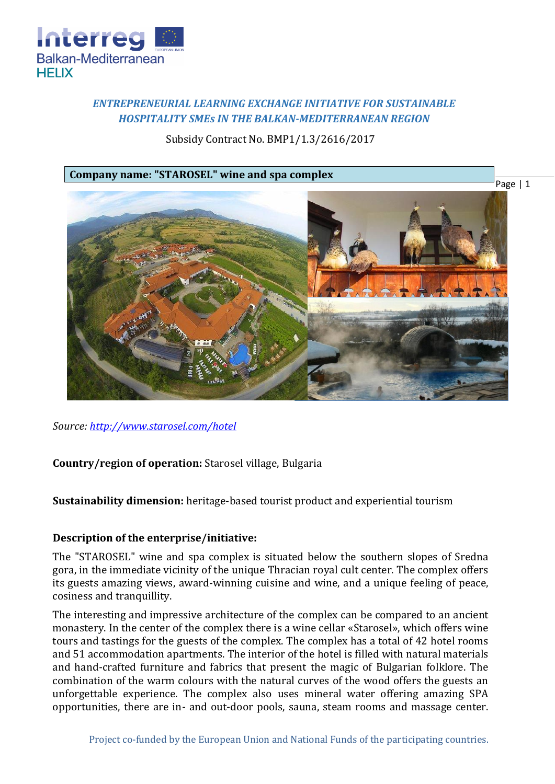

# *ENTREPRENEURIAL LEARNING EXCHANGE INITIATIVE FOR SUSTAINABLE HOSPITALITY SMEs IN THE BALKAN-MEDITERRANEAN REGION*

Subsidy Contract No. BMP1/1.3/2616/2017



*Source:<http://www.starosel.com/hotel>*

**Country/region of operation:** Starosel village, Bulgaria

**Sustainability dimension:** heritage-based tourist product and experiential tourism

# **Description of the enterprise/initiative:**

The "STAROSEL" wine and spa complex is situated below the southern slopes of Sredna gora, in the immediate vicinity of the unique Thracian royal cult center. The complex offers its guests amazing views, award-winning cuisine and wine, and a unique feeling of peace, cosiness and tranquillity.

The interesting and impressive architecture of the complex can be compared to an ancient monastery. In the center of the complex there is a wine cellar «Starosel», which offers wine tours and tastings for the guests of the complex. The complex has a total of 42 hotel rooms and 51 accommodation apartments. The interior of the hotel is filled with natural materials and hand-crafted furniture and fabrics that present the magic of Bulgarian folklore. The combination of the warm colours with the natural curves of the wood offers the guests an unforgettable experience. The complex also uses mineral water offering amazing SPA opportunities, there are in- and out-door pools, sauna, steam rooms and massage center.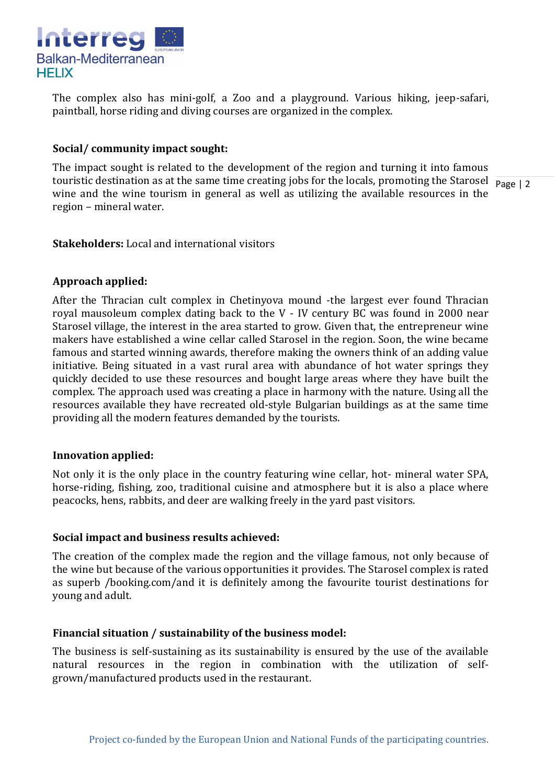

The complex also has mini-golf, a Zoo and a playground. Various hiking, jeep-safari, paintball, horse riding and diving courses are organized in the complex.

# **Social/ community impact sought:**

touristic destination as at the same time creating jobs for the locals, promoting the Starosel  $\frac{1}{\text{Page } |2}$ The impact sought is related to the development of the region and turning it into famous wine and the wine tourism in general as well as utilizing the available resources in the region – mineral water.

**Stakeholders:** Local and international visitors

## **Approach applied:**

After the Thracian cult complex in Chetinyova mound -the largest ever found Thracian royal mausoleum complex dating back to the V - IV century BC was found in 2000 near Starosel village, the interest in the area started to grow. Given that, the entrepreneur wine makers have established a wine cellar called Starosel in the region. Soon, the wine became famous and started winning awards, therefore making the owners think of an adding value initiative. Being situated in a vast rural area with abundance of hot water springs they quickly decided to use these resources and bought large areas where they have built the complex. The approach used was creating a place in harmony with the nature. Using all the resources available they have recreated old-style Bulgarian buildings as at the same time providing all the modern features demanded by the tourists.

## **Innovation applied:**

Not only it is the only place in the country featuring wine cellar, hot- mineral water SPA, horse-riding, fishing, zoo, traditional cuisine and atmosphere but it is also a place where peacocks, hens, rabbits, and deer are walking freely in the yard past visitors.

## **Social impact and business results achieved:**

The creation of the complex made the region and the village famous, not only because of the wine but because of the various opportunities it provides. The Starosel complex is rated as superb /booking.com/and it is definitely among the favourite tourist destinations for young and adult.

## **Financial situation / sustainability of the business model:**

The business is self-sustaining as its sustainability is ensured by the use of the available natural resources in the region in combination with the utilization of selfgrown/manufactured products used in the restaurant.